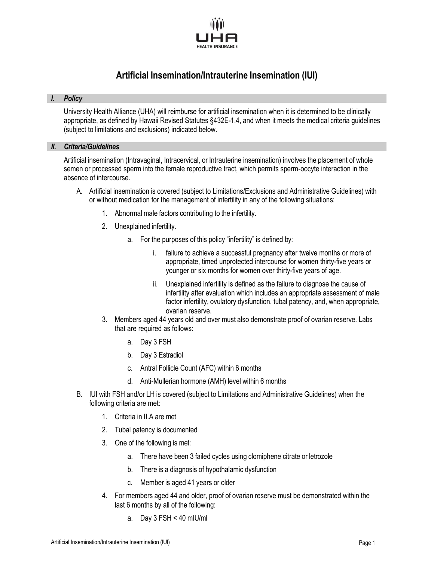

# **Artificial Insemination/Intrauterine Insemination (IUI)**

## *I. Policy*

University Health Alliance (UHA) will reimburse for artificial insemination when it is determined to be clinically appropriate, as defined by Hawaii Revised Statutes §432E-1.4, and when it meets the medical criteria guidelines (subject to limitations and exclusions) indicated below.

## *II. Criteria/Guidelines*

Artificial insemination (Intravaginal, Intracervical, or Intrauterine insemination) involves the placement of whole semen or processed sperm into the female reproductive tract, which permits sperm-oocyte interaction in the absence of intercourse.

- A. Artificial insemination is covered (subject to Limitations/Exclusions and Administrative Guidelines) with or without medication for the management of infertility in any of the following situations:
	- 1. Abnormal male factors contributing to the infertility.
	- 2. Unexplained infertility.
		- a. For the purposes of this policy "infertility" is defined by:
			- i. failure to achieve a successful pregnancy after twelve months or more of appropriate, timed unprotected intercourse for women thirty-five years or younger or six months for women over thirty-five years of age.
			- ii. Unexplained infertility is defined as the failure to diagnose the cause of infertility after evaluation which includes an appropriate assessment of male factor infertility, ovulatory dysfunction, tubal patency, and, when appropriate, ovarian reserve.
	- 3. Members aged 44 years old and over must also demonstrate proof of ovarian reserve. Labs that are required as follows:
		- a. Day 3 FSH
		- b. Day 3 Estradiol
		- c. Antral Follicle Count (AFC) within 6 months
		- d. Anti-Mullerian hormone (AMH) level within 6 months
- B. IUI with FSH and/or LH is covered (subject to Limitations and Administrative Guidelines) when the following criteria are met:
	- 1. Criteria in II.A are met
	- 2. Tubal patency is documented
	- 3. One of the following is met:
		- a. There have been 3 failed cycles using clomiphene citrate or letrozole
		- b. There is a diagnosis of hypothalamic dysfunction
		- c. Member is aged 41 years or older
	- 4. For members aged 44 and older, proof of ovarian reserve must be demonstrated within the last 6 months by all of the following:
		- a. Day 3 FSH < 40 mIU/ml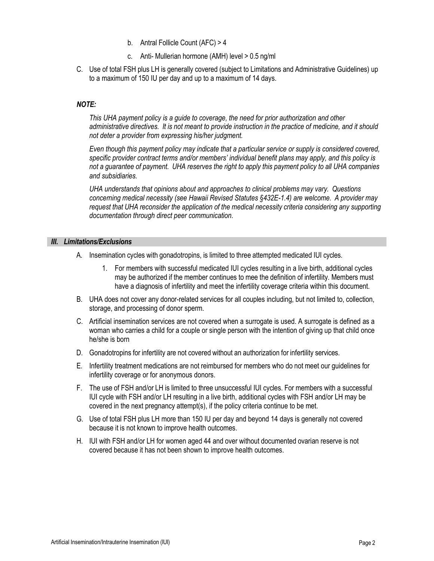- b. Antral Follicle Count (AFC) > 4
- c. Anti- Mullerian hormone (AMH) level > 0.5 ng/ml
- C. Use of total FSH plus LH is generally covered (subject to Limitations and Administrative Guidelines) up to a maximum of 150 IU per day and up to a maximum of 14 days.

## *NOTE:*

*This UHA payment policy is a guide to coverage, the need for prior authorization and other*  administrative directives. It is not meant to provide instruction in the practice of medicine, and it should *not deter a provider from expressing his/her judgment.*

*Even though this payment policy may indicate that a particular service or supply is considered covered, specific provider contract terms and/or members' individual benefit plans may apply, and this policy is*  not a guarantee of payment. UHA reserves the right to apply this payment policy to all UHA companies *and subsidiaries.*

*UHA understands that opinions about and approaches to clinical problems may vary. Questions concerning medical necessity (see Hawaii Revised Statutes §432E-1.4) are welcome. A provider may request that UHA reconsider the application of the medical necessity criteria considering any supporting documentation through direct peer communication.*

## *III. Limitations/Exclusions*

- A. Insemination cycles with gonadotropins, is limited to three attempted medicated IUI cycles.
	- 1. For members with successful medicated IUI cycles resulting in a live birth, additional cycles may be authorized if the member continues to mee the definition of infertility. Members must have a diagnosis of infertility and meet the infertility coverage criteria within this document.
- B. UHA does not cover any donor-related services for all couples including, but not limited to, collection, storage, and processing of donor sperm.
- C. Artificial insemination services are not covered when a surrogate is used. A surrogate is defined as a woman who carries a child for a couple or single person with the intention of giving up that child once he/she is born
- D. Gonadotropins for infertility are not covered without an authorization for infertility services.
- E. Infertility treatment medications are not reimbursed for members who do not meet our guidelines for infertility coverage or for anonymous donors.
- F. The use of FSH and/or LH is limited to three unsuccessful IUI cycles. For members with a successful IUI cycle with FSH and/or LH resulting in a live birth, additional cycles with FSH and/or LH may be covered in the next pregnancy attempt(s), if the policy criteria continue to be met.
- G. Use of total FSH plus LH more than 150 IU per day and beyond 14 days is generally not covered because it is not known to improve health outcomes.
- H. IUI with FSH and/or LH for women aged 44 and over without documented ovarian reserve is not covered because it has not been shown to improve health outcomes.